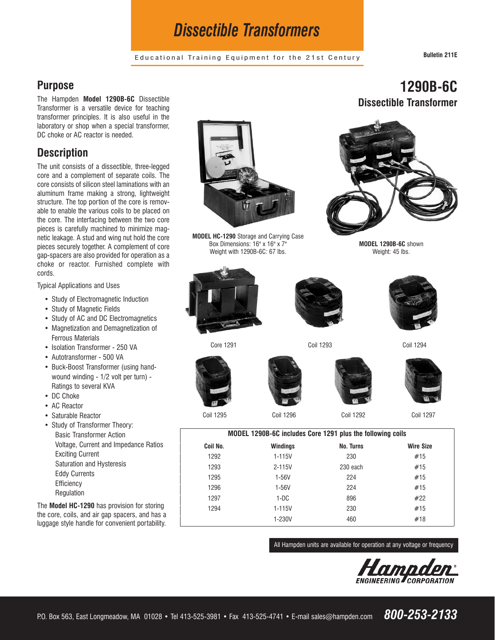# *Dissectible Transformers*

Educational Training Equipment for the 21st Century **Bulletin 211E**

**1290B-6C**

**Dissectible Transformer**

#### **Purpose**

The Hampden **Model 1290B-6C** Dissectible Transformer is a versatile device for teaching transformer principles. It is also useful in the laboratory or shop when a special transformer, DC choke or AC reactor is needed.

## **Description**

The unit consists of a dissectible, three-legged core and a complement of separate coils. The core consists of silicon steel laminations with an aluminum frame making a strong, lightweight structure. The top portion of the core is removable to enable the various coils to be placed on the core. The interfacing between the two core pieces is carefully machined to minimize magnetic leakage. A stud and wing nut hold the core pieces securely together. A complement of core gap-spacers are also provided for operation as a choke or reactor. Furnished complete with cords.

Typical Applications and Uses

- Study of Electromagnetic Induction
- Study of Magnetic Fields
- Study of AC and DC Electromagnetics
- Magnetization and Demagnetization of Ferrous Materials
- Isolation Transformer 250 VA
- Autotransformer 500 VA
- Buck-Boost Transformer (using handwound winding - 1/2 volt per turn) - Ratings to several KVA
- DC Choke
- AC Reactor
- Saturable Reactor
- Study of Transformer Theory: Basic Transformer Action Voltage, Current and Impedance Ratios Exciting Current Saturation and Hysteresis Eddy Currents **Efficiency** Regulation

The **Model HC-1290** has provision for storing the core, coils, and air gap spacers, and has a luggage style handle for convenient portability.



**MODEL HC-1290** Storage and Carrying Case Box Dimensions: 16" x 16" x 7" Weight with 1290B-6C: 67 lbs.







**MODEL 1290B-6C** shown Weight: 45 lbs.

Core 1291 Coil 1293 Coil 1294







Coil 1295 Coil 1296 Coil 1292 Coil 1297

| MODEL 1290B-6C includes Core 1291 plus the following coils |            |           |                  |
|------------------------------------------------------------|------------|-----------|------------------|
| Coil No.                                                   | Windings   | No. Turns | <b>Wire Size</b> |
| 1292                                                       | 1-115V     | 230       | #15              |
| 1293                                                       | $2 - 115V$ | 230 each  | #15              |
| 1295                                                       | 1-56V      | 224       | #15              |
| 1296                                                       | 1-56V      | 224       | #15              |
| 1297                                                       | $1-DC$     | 896       | #22              |
| 1294                                                       | 1-115V     | 230       | #15              |
|                                                            | 1-230V     | 460       | #18              |

All Hampden units are available for operation at any voltage or frequency